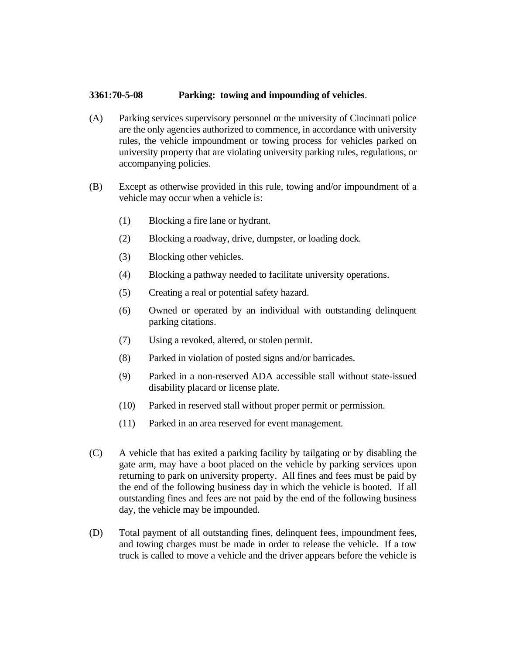## **3361:70-5-08 Parking: towing and impounding of vehicles**.

- (A) Parking services supervisory personnel or the university of Cincinnati police are the only agencies authorized to commence, in accordance with university rules, the vehicle impoundment or towing process for vehicles parked on university property that are violating university parking rules, regulations, or accompanying policies.
- (B) Except as otherwise provided in this rule, towing and/or impoundment of a vehicle may occur when a vehicle is:
	- (1) Blocking a fire lane or hydrant.
	- (2) Blocking a roadway, drive, dumpster, or loading dock.
	- (3) Blocking other vehicles.
	- (4) Blocking a pathway needed to facilitate university operations.
	- (5) Creating a real or potential safety hazard.
	- (6) Owned or operated by an individual with outstanding delinquent parking citations.
	- (7) Using a revoked, altered, or stolen permit.
	- (8) Parked in violation of posted signs and/or barricades.
	- (9) Parked in a non-reserved ADA accessible stall without state-issued disability placard or license plate.
	- (10) Parked in reserved stall without proper permit or permission.
	- (11) Parked in an area reserved for event management.
- (C) A vehicle that has exited a parking facility by tailgating or by disabling the gate arm, may have a boot placed on the vehicle by parking services upon returning to park on university property. All fines and fees must be paid by the end of the following business day in which the vehicle is booted. If all outstanding fines and fees are not paid by the end of the following business day, the vehicle may be impounded.
- (D) Total payment of all outstanding fines, delinquent fees, impoundment fees, and towing charges must be made in order to release the vehicle. If a tow truck is called to move a vehicle and the driver appears before the vehicle is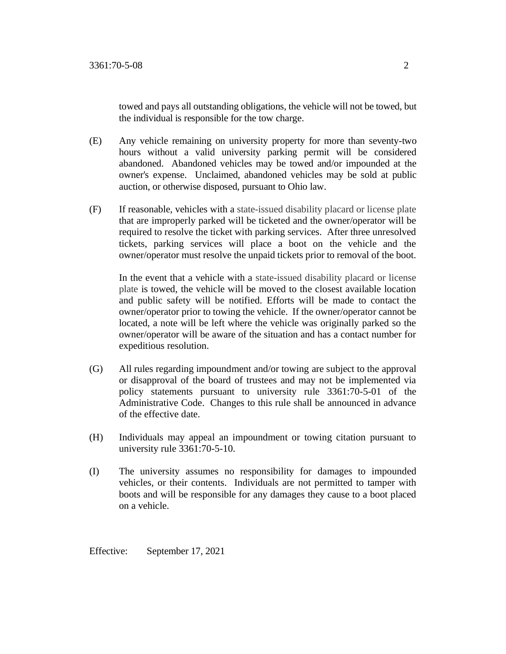towed and pays all outstanding obligations, the vehicle will not be towed, but the individual is responsible for the tow charge.

- (E) Any vehicle remaining on university property for more than seventy-two hours without a valid university parking permit will be considered abandoned. Abandoned vehicles may be towed and/or impounded at the owner's expense. Unclaimed, abandoned vehicles may be sold at public auction, or otherwise disposed, pursuant to Ohio law.
- (F) If reasonable, vehicles with a state-issued disability placard or license plate that are improperly parked will be ticketed and the owner/operator will be required to resolve the ticket with parking services. After three unresolved tickets, parking services will place a boot on the vehicle and the owner/operator must resolve the unpaid tickets prior to removal of the boot.

In the event that a vehicle with a state-issued disability placard or license plate is towed, the vehicle will be moved to the closest available location and public safety will be notified. Efforts will be made to contact the owner/operator prior to towing the vehicle. If the owner/operator cannot be located, a note will be left where the vehicle was originally parked so the owner/operator will be aware of the situation and has a contact number for expeditious resolution.

- (G) All rules regarding impoundment and/or towing are subject to the approval or disapproval of the board of trustees and may not be implemented via policy statements pursuant to university rule 3361:70-5-01 of the Administrative Code. Changes to this rule shall be announced in advance of the effective date.
- (H) Individuals may appeal an impoundment or towing citation pursuant to university rule 3361:70-5-10.
- (I) The university assumes no responsibility for damages to impounded vehicles, or their contents. Individuals are not permitted to tamper with boots and will be responsible for any damages they cause to a boot placed on a vehicle.

Effective: September 17, 2021